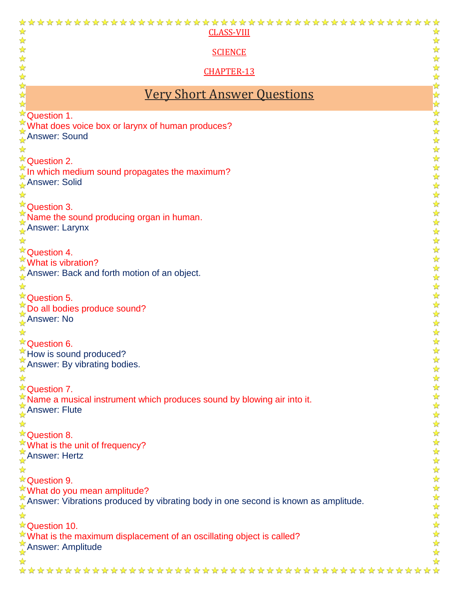| <b>CLASS-VIII</b>                                                                  | $\frac{1}{\sqrt{2}}$                         |
|------------------------------------------------------------------------------------|----------------------------------------------|
| <b>SCIENCE</b>                                                                     |                                              |
|                                                                                    | ☆                                            |
| <b>CHAPTER-13</b>                                                                  | $\blacktriangleright$                        |
|                                                                                    |                                              |
| <u>Very Short Answer Questions</u>                                                 | 好好好好                                         |
| <b>Question 1.</b>                                                                 |                                              |
| ★ What does voice box or larynx of human produces?                                 | $\frac{1}{\sqrt{2}}$<br>$\frac{1}{\sqrt{2}}$ |
| <b>Answer: Sound</b>                                                               | $\blacklozenge$                              |
|                                                                                    | $\frac{1}{\sqrt{2}}$                         |
| <b>Question 2.</b>                                                                 | $\frac{1}{\mathcal{N}}$<br>$\bigstar$        |
| In which medium sound propagates the maximum?                                      | $\frac{1}{\sqrt{2}}$                         |
| <b>Answer: Solid</b>                                                               | $\frac{1}{\mathbf{k}^2}$                     |
|                                                                                    | $\frac{1}{\sqrt{2}}$<br>☆                    |
| <sup>*</sup> Question 3.<br>Name the sound producing organ in human.               | $\frac{1}{\sqrt{2}}$                         |
| Answer: Larynx                                                                     | ☆                                            |
|                                                                                    | $\frac{1}{2}$<br>$\frac{1}{2}$               |
| <sup><b>X<sup>*</sup>Question 4.</b></sup>                                         | $\frac{1}{\sqrt{2}}$                         |
| What is vibration?                                                                 | $\frac{1}{\sqrt{2}}$<br>$\frac{1}{\sqrt{2}}$ |
| Answer: Back and forth motion of an object.                                        | $\frac{1}{\sqrt{2}}$                         |
|                                                                                    | $\frac{1}{2}$                                |
| <sup><b>X<sup>2</sup>Question 5.</b></sup>                                         | $\frac{1}{2}$<br>☆                           |
| <b>Example 2</b> Do all bodies produce sound?<br>$\frac{1}{2}$ Answer: No          | ☆                                            |
|                                                                                    | $\frac{1}{\sqrt{2}}$                         |
|                                                                                    | $\frac{1}{\sqrt{2}}$<br>$\frac{1}{2}$        |
| <b>Question 6.</b><br>How is sound produced?                                       | ☆                                            |
| Answer: By vibrating bodies.                                                       | ☆                                            |
|                                                                                    | ☆<br>☆                                       |
| *Question 7.                                                                       | ☆                                            |
| ★ Name a musical instrument which produces sound by blowing air into it.           | ☆                                            |
| <b>Answer: Flute</b>                                                               | ☆<br>$\frac{1}{\sqrt{2}}$                    |
|                                                                                    | $\frac{1}{\sqrt{2}}$                         |
| ☆ Question 8.                                                                      | $\frac{1}{2}$<br>$\frac{1}{\sqrt{2}}$        |
| What is the unit of frequency?                                                     | $\frac{1}{\sqrt{2}}$                         |
| Answer: Hertz                                                                      | $\frac{1}{2}$                                |
|                                                                                    | $\frac{1}{2}$<br>$\frac{1}{\sqrt{2}}$        |
| ☆ Question 9.<br><i><u><b>★What do you mean amplitude?</b></u></i>                 | ☆                                            |
| Answer: Vibrations produced by vibrating body in one second is known as amplitude. | ☆                                            |
|                                                                                    | $\frac{1}{\sqrt{2}}$<br>$\frac{1}{2}$        |
| ☆ Question 10.                                                                     | ☆                                            |
| $\mathbb{R}$ What is the maximum displacement of an oscillating object is called?  | ☆                                            |
| Answer: Amplitude                                                                  | ☆<br>$\frac{1}{\sqrt{2}}$                    |
|                                                                                    |                                              |
|                                                                                    |                                              |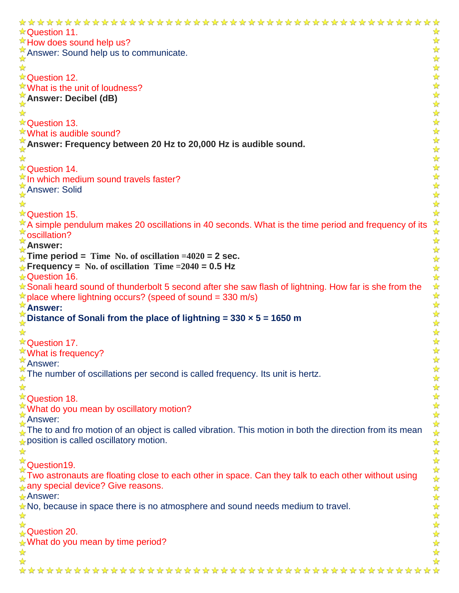**★Question 11.** ☆ ☆  $\sqrt[3]{x}$  How does sound help us?  $\blacktriangleright$ Answer: Sound help us to communicate. 化化分分分分分分分分分分分分分分分分分 ☆ **★Question 12.**  $\sqrt[k]{ }$  What is the unit of loudness? **Answer: Decibel (dB)** ☆ ☆ **★Question 13. ★What is audible sound? Answer: Frequency between 20 Hz to 20,000 Hz is audible sound.** ☆ **☆ Question 14.**  $\sqrt[k]{ }$  In which medium sound travels faster? **Answer: Solid** ☆ **★ Question 15.**  $*$  A simple pendulum makes 20 oscillations in 40 seconds. What is the time period and frequency of its ☆ oscillation?  $\frac{1}{\sqrt{2}}$ **Answer:** 好好好好好!  $\frac{1}{2}$  **Time period =** Time No. of oscillation =4020 = 2 sec. **Frequency = No. of oscillation Time =2040 = 0.5 Hz ★Question 16.** Sonali heard sound of thunderbolt 5 second after she saw flash of lightning. How far is she from the  $\frac{1}{\sqrt{2}}$  $\star$  place where lightning occurs? (speed of sound = 330 m/s)  $\frac{1}{\sqrt{2}}$ **Answer:**  $\frac{1}{\sqrt{2}}$ **Distance of Sonali from the place of lightning = 330 × 5 = 1650 m**  $\frac{1}{\sqrt{2}}$  $\mathbf{r}$ ☆ 女女女女女女女女女女女女女女女女女 **☆Question 17. <sup>★</sup>What is frequency?** Answer: The number of oscillations per second is called frequency. Its unit is hertz.  $\frac{\lambda}{\lambda}$  $\frac{1}{\sqrt{2}}$ **<sup>★</sup>Question 18. What do you mean by oscillatory motion? Answer:** The to and fro motion of an object is called vibration. This motion in both the direction from its mean  $\mathcal{L}$  position is called oscillatory motion. ☆ **Question19.**  $\frac{\pi}{4}$  Two astronauts are floating close to each other in space. Can they talk to each other without using any special device? Give reasons.  $\frac{1}{\sqrt{2}}$ **Answer:** \*\*\*\*\*\*\*\*  $\star$  No, because in space there is no atmosphere and sound needs medium to travel.  $\rightarrow$ ☆ Question 20.  $\sqrt{\ }$  What do you mean by time period?  $\frac{1}{2}$ ☆